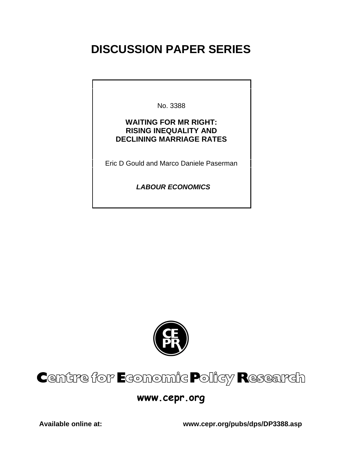# **DISCUSSION PAPER SERIES**

No. 3388

#### **WAITING FOR MR RIGHT: RISING INEQUALITY AND DECLINING MARRIAGE RATES**

Eric D Gould and Marco Daniele Paserman

 **LABOUR ECONOMICS**



# Centre for Economic Policy Research

### www.cepr.org

**Available online at: www.cepr.org/pubs/dps/DP3388.asp**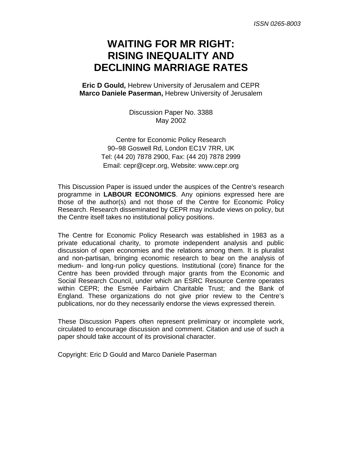ISSN 0265-8003

### **WAITING FOR MR RIGHT: RISING INEQUALITY AND DECLINING MARRIAGE RATES**

**Eric D Gould,** Hebrew University of Jerusalem and CEPR **Marco Daniele Paserman,** Hebrew University of Jerusalem

> Discussion Paper No. 3388 May 2002

Centre for Economic Policy Research 90–98 Goswell Rd, London EC1V 7RR, UK Tel: (44 20) 7878 2900, Fax: (44 20) 7878 2999 Email: cepr@cepr.org, Website: www.cepr.org

This Discussion Paper is issued under the auspices of the Centre's research programme in **LABOUR ECONOMICS**. Any opinions expressed here are those of the author(s) and not those of the Centre for Economic Policy Research. Research disseminated by CEPR may include views on policy, but the Centre itself takes no institutional policy positions.

The Centre for Economic Policy Research was established in 1983 as a private educational charity, to promote independent analysis and public discussion of open economies and the relations among them. It is pluralist and non-partisan, bringing economic research to bear on the analysis of medium- and long-run policy questions. Institutional (core) finance for the Centre has been provided through major grants from the Economic and Social Research Council, under which an ESRC Resource Centre operates within CEPR; the Esmée Fairbairn Charitable Trust; and the Bank of England. These organizations do not give prior review to the Centre's publications, nor do they necessarily endorse the views expressed therein.

These Discussion Papers often represent preliminary or incomplete work, circulated to encourage discussion and comment. Citation and use of such a paper should take account of its provisional character.

Copyright: Eric D Gould and Marco Daniele Paserman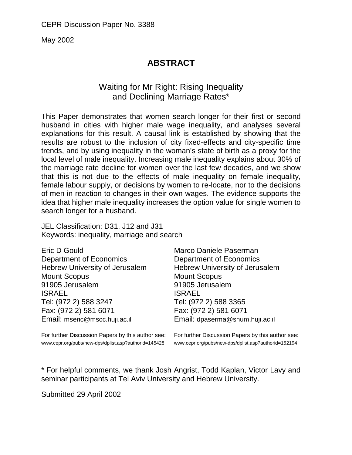May 2002

### **ABSTRACT**

### Waiting for Mr Right: Rising Inequality and Declining Marriage Rates\*

This Paper demonstrates that women search longer for their first or second husband in cities with higher male wage inequality, and analyses several explanations for this result. A causal link is established by showing that the results are robust to the inclusion of city fixed-effects and city-specific time trends, and by using inequality in the woman's state of birth as a proxy for the local level of male inequality. Increasing male inequality explains about 30% of the marriage rate decline for women over the last few decades, and we show that this is not due to the effects of male inequality on female inequality, female labour supply, or decisions by women to re-locate, nor to the decisions of men in reaction to changes in their own wages. The evidence supports the idea that higher male inequality increases the option value for single women to search longer for a husband.

JEL Classification: D31, J12 and J31 Keywords: inequality, marriage and search

| Eric D Gould                   | Marco Daniele Paserman          |
|--------------------------------|---------------------------------|
| Department of Economics        | <b>Department of Economics</b>  |
| Hebrew University of Jerusalem | Hebrew University of Jerusalem  |
| <b>Mount Scopus</b>            | <b>Mount Scopus</b>             |
| 91905 Jerusalem                | 91905 Jerusalem                 |
| <b>ISRAEL</b>                  | <b>ISRAEL</b>                   |
| Tel: (972 2) 588 3247          | Tel: (972 2) 588 3365           |
| Fax: (972 2) 581 6071          | Fax: (972 2) 581 6071           |
| Email: mseric@mscc.huji.ac.il  | Email: dpaserma@shum.huji.ac.il |
|                                |                                 |

For further Discussion Papers by this author see: For further Discussion Papers by this author see: www.cepr.org/pubs/new-dps/dplist.asp?authorid=145428

www.cepr.org/pubs/new-dps/dplist.asp?authorid=152194

\* For helpful comments, we thank Josh Angrist, Todd Kaplan, Victor Lavy and seminar participants at Tel Aviv University and Hebrew University.

Submitted 29 April 2002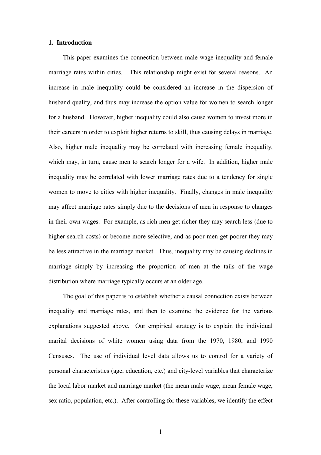#### **1. Introduction**

This paper examines the connection between male wage inequality and female marriage rates within cities. This relationship might exist for several reasons. An increase in male inequality could be considered an increase in the dispersion of husband quality, and thus may increase the option value for women to search longer for a husband. However, higher inequality could also cause women to invest more in their careers in order to exploit higher returns to skill, thus causing delays in marriage. Also, higher male inequality may be correlated with increasing female inequality, which may, in turn, cause men to search longer for a wife. In addition, higher male inequality may be correlated with lower marriage rates due to a tendency for single women to move to cities with higher inequality. Finally, changes in male inequality may affect marriage rates simply due to the decisions of men in response to changes in their own wages. For example, as rich men get richer they may search less (due to higher search costs) or become more selective, and as poor men get poorer they may be less attractive in the marriage market. Thus, inequality may be causing declines in marriage simply by increasing the proportion of men at the tails of the wage distribution where marriage typically occurs at an older age.

The goal of this paper is to establish whether a causal connection exists between inequality and marriage rates, and then to examine the evidence for the various explanations suggested above. Our empirical strategy is to explain the individual marital decisions of white women using data from the 1970, 1980, and 1990 Censuses. The use of individual level data allows us to control for a variety of personal characteristics (age, education, etc.) and city-level variables that characterize the local labor market and marriage market (the mean male wage, mean female wage, sex ratio, population, etc.). After controlling for these variables, we identify the effect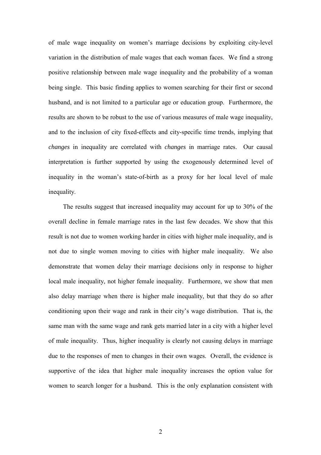of male wage inequality on womenís marriage decisions by exploiting city-level variation in the distribution of male wages that each woman faces. We find a strong positive relationship between male wage inequality and the probability of a woman being single. This basic finding applies to women searching for their first or second husband, and is not limited to a particular age or education group. Furthermore, the results are shown to be robust to the use of various measures of male wage inequality, and to the inclusion of city fixed-effects and city-specific time trends, implying that *changes* in inequality are correlated with *changes* in marriage rates. Our causal interpretation is further supported by using the exogenously determined level of inequality in the woman's state-of-birth as a proxy for her local level of male inequality.

The results suggest that increased inequality may account for up to 30% of the overall decline in female marriage rates in the last few decades. We show that this result is not due to women working harder in cities with higher male inequality, and is not due to single women moving to cities with higher male inequality. We also demonstrate that women delay their marriage decisions only in response to higher local male inequality, not higher female inequality. Furthermore, we show that men also delay marriage when there is higher male inequality, but that they do so after conditioning upon their wage and rank in their cityís wage distribution. That is, the same man with the same wage and rank gets married later in a city with a higher level of male inequality. Thus, higher inequality is clearly not causing delays in marriage due to the responses of men to changes in their own wages. Overall, the evidence is supportive of the idea that higher male inequality increases the option value for women to search longer for a husband. This is the only explanation consistent with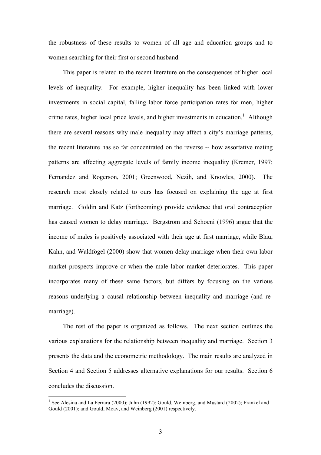the robustness of these results to women of all age and education groups and to women searching for their first or second husband.

This paper is related to the recent literature on the consequences of higher local levels of inequality. For example, higher inequality has been linked with lower investments in social capital, falling labor force participation rates for men, higher crime rates, higher local price levels, and higher investments in education.<sup>1</sup> Although there are several reasons why male inequality may affect a city's marriage patterns, the recent literature has so far concentrated on the reverse -- how assortative mating patterns are affecting aggregate levels of family income inequality (Kremer, 1997; Fernandez and Rogerson, 2001; Greenwood, Nezih, and Knowles, 2000). The research most closely related to ours has focused on explaining the age at first marriage. Goldin and Katz (forthcoming) provide evidence that oral contraception has caused women to delay marriage. Bergstrom and Schoeni (1996) argue that the income of males is positively associated with their age at first marriage, while Blau, Kahn, and Waldfogel (2000) show that women delay marriage when their own labor market prospects improve or when the male labor market deteriorates. This paper incorporates many of these same factors, but differs by focusing on the various reasons underlying a causal relationship between inequality and marriage (and remarriage).

The rest of the paper is organized as follows. The next section outlines the various explanations for the relationship between inequality and marriage. Section 3 presents the data and the econometric methodology. The main results are analyzed in Section 4 and Section 5 addresses alternative explanations for our results. Section 6 concludes the discussion.

<sup>&</sup>lt;sup>1</sup> See Alesina and La Ferrara (2000); Juhn (1992); Gould, Weinberg, and Mustard (2002); Frankel and Gould (2001); and Gould, Moav, and Weinberg (2001) respectively.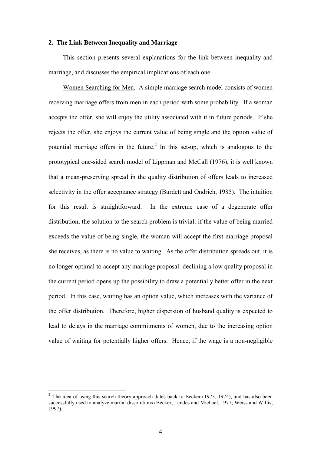#### **2. The Link Between Inequality and Marriage**

This section presents several explanations for the link between inequality and marriage, and discusses the empirical implications of each one.

Women Searching for Men. A simple marriage search model consists of women receiving marriage offers from men in each period with some probability. If a woman accepts the offer, she will enjoy the utility associated with it in future periods. If she rejects the offer, she enjoys the current value of being single and the option value of potential marriage offers in the future.<sup>2</sup> In this set-up, which is analogous to the prototypical one-sided search model of Lippman and McCall (1976), it is well known that a mean-preserving spread in the quality distribution of offers leads to increased selectivity in the offer acceptance strategy (Burdett and Ondrich, 1985). The intuition for this result is straightforward. In the extreme case of a degenerate offer distribution, the solution to the search problem is trivial: if the value of being married exceeds the value of being single, the woman will accept the first marriage proposal she receives, as there is no value to waiting. As the offer distribution spreads out, it is no longer optimal to accept any marriage proposal: declining a low quality proposal in the current period opens up the possibility to draw a potentially better offer in the next period. In this case, waiting has an option value, which increases with the variance of the offer distribution. Therefore, higher dispersion of husband quality is expected to lead to delays in the marriage commitments of women, due to the increasing option value of waiting for potentially higher offers. Hence, if the wage is a non-negligible

 $2$  The idea of using this search theory approach dates back to Becker (1973, 1974), and has also been successfully used to analyze marital dissolutions (Becker, Landes and Michael, 1977; Weiss and Willis, 1997).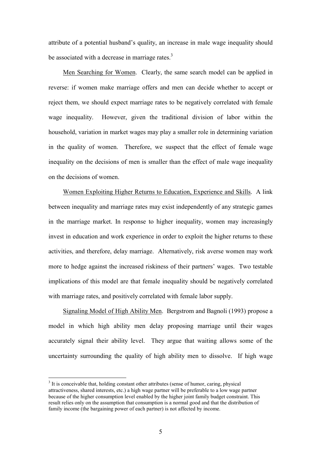attribute of a potential husband's quality, an increase in male wage inequality should be associated with a decrease in marriage rates. $3$ 

Men Searching for Women. Clearly, the same search model can be applied in reverse: if women make marriage offers and men can decide whether to accept or reject them, we should expect marriage rates to be negatively correlated with female wage inequality. However, given the traditional division of labor within the household, variation in market wages may play a smaller role in determining variation in the quality of women. Therefore, we suspect that the effect of female wage inequality on the decisions of men is smaller than the effect of male wage inequality on the decisions of women.

Women Exploiting Higher Returns to Education, Experience and Skills. A link between inequality and marriage rates may exist independently of any strategic games in the marriage market. In response to higher inequality, women may increasingly invest in education and work experience in order to exploit the higher returns to these activities, and therefore, delay marriage. Alternatively, risk averse women may work more to hedge against the increased riskiness of their partners' wages. Two testable implications of this model are that female inequality should be negatively correlated with marriage rates, and positively correlated with female labor supply.

Signaling Model of High Ability Men. Bergstrom and Bagnoli (1993) propose a model in which high ability men delay proposing marriage until their wages accurately signal their ability level. They argue that waiting allows some of the uncertainty surrounding the quality of high ability men to dissolve. If high wage

 $3$  It is conceivable that, holding constant other attributes (sense of humor, caring, physical attractiveness, shared interests, etc.) a high wage partner will be preferable to a low wage partner because of the higher consumption level enabled by the higher joint family budget constraint. This result relies only on the assumption that consumption is a normal good and that the distribution of family income (the bargaining power of each partner) is not affected by income.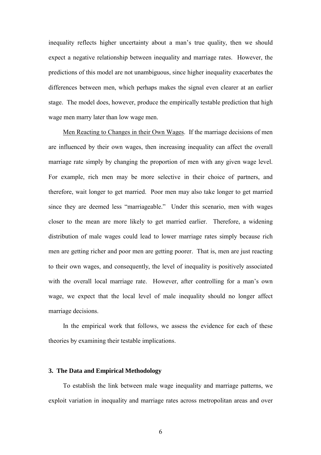inequality reflects higher uncertainty about a man's true quality, then we should expect a negative relationship between inequality and marriage rates. However, the predictions of this model are not unambiguous, since higher inequality exacerbates the differences between men, which perhaps makes the signal even clearer at an earlier stage. The model does, however, produce the empirically testable prediction that high wage men marry later than low wage men.

Men Reacting to Changes in their Own Wages. If the marriage decisions of men are influenced by their own wages, then increasing inequality can affect the overall marriage rate simply by changing the proportion of men with any given wage level. For example, rich men may be more selective in their choice of partners, and therefore, wait longer to get married. Poor men may also take longer to get married since they are deemed less "marriageable." Under this scenario, men with wages closer to the mean are more likely to get married earlier. Therefore, a widening distribution of male wages could lead to lower marriage rates simply because rich men are getting richer and poor men are getting poorer. That is, men are just reacting to their own wages, and consequently, the level of inequality is positively associated with the overall local marriage rate. However, after controlling for a man's own wage, we expect that the local level of male inequality should no longer affect marriage decisions.

In the empirical work that follows, we assess the evidence for each of these theories by examining their testable implications.

#### **3. The Data and Empirical Methodology**

To establish the link between male wage inequality and marriage patterns, we exploit variation in inequality and marriage rates across metropolitan areas and over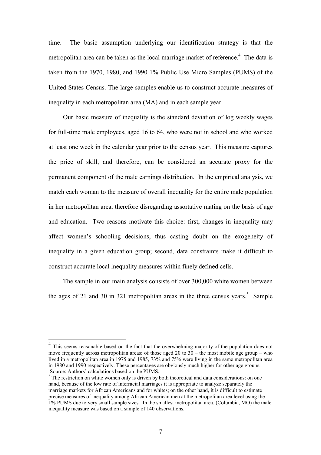time. The basic assumption underlying our identification strategy is that the metropolitan area can be taken as the local marriage market of reference.<sup>4</sup> The data is taken from the 1970, 1980, and 1990 1% Public Use Micro Samples (PUMS) of the United States Census. The large samples enable us to construct accurate measures of inequality in each metropolitan area (MA) and in each sample year.

Our basic measure of inequality is the standard deviation of log weekly wages for full-time male employees, aged 16 to 64, who were not in school and who worked at least one week in the calendar year prior to the census year. This measure captures the price of skill, and therefore, can be considered an accurate proxy for the permanent component of the male earnings distribution. In the empirical analysis, we match each woman to the measure of overall inequality for the entire male population in her metropolitan area, therefore disregarding assortative mating on the basis of age and education. Two reasons motivate this choice: first, changes in inequality may affect women's schooling decisions, thus casting doubt on the exogeneity of inequality in a given education group; second, data constraints make it difficult to construct accurate local inequality measures within finely defined cells.

The sample in our main analysis consists of over 300,000 white women between the ages of 21 and 30 in 321 metropolitan areas in the three census years.<sup>5</sup> Sample

<sup>4</sup> This seems reasonable based on the fact that the overwhelming majority of the population does not move frequently across metropolitan areas: of those aged 20 to  $30 -$  the most mobile age group  $-$  who lived in a metropolitan area in 1975 and 1985, 73% and 75% were living in the same metropolitan area in 1980 and 1990 respectively. These percentages are obviously much higher for other age groups. Source: Authors' calculations based on the PUMS.

 $<sup>5</sup>$  The restriction on white women only is driven by both theoretical and data considerations: on one</sup> hand, because of the low rate of interracial marriages it is appropriate to analyze separately the marriage markets for African Americans and for whites; on the other hand, it is difficult to estimate precise measures of inequality among African American men at the metropolitan area level using the 1% PUMS due to very small sample sizes. In the smallest metropolitan area, (Columbia, MO) the male inequality measure was based on a sample of 140 observations.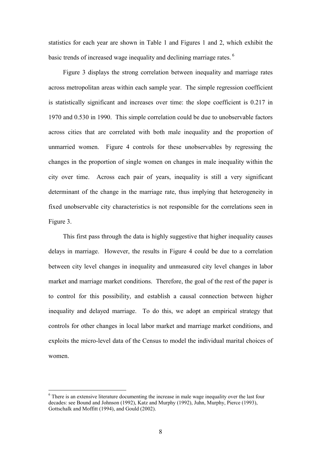statistics for each year are shown in Table 1 and Figures 1 and 2, which exhibit the basic trends of increased wage inequality and declining marriage rates. 6

Figure 3 displays the strong correlation between inequality and marriage rates across metropolitan areas within each sample year. The simple regression coefficient is statistically significant and increases over time: the slope coefficient is 0.217 in 1970 and 0.530 in 1990. This simple correlation could be due to unobservable factors across cities that are correlated with both male inequality and the proportion of unmarried women. Figure 4 controls for these unobservables by regressing the changes in the proportion of single women on changes in male inequality within the city over time. Across each pair of years, inequality is still a very significant determinant of the change in the marriage rate, thus implying that heterogeneity in fixed unobservable city characteristics is not responsible for the correlations seen in Figure 3.

This first pass through the data is highly suggestive that higher inequality causes delays in marriage. However, the results in Figure 4 could be due to a correlation between city level changes in inequality and unmeasured city level changes in labor market and marriage market conditions. Therefore, the goal of the rest of the paper is to control for this possibility, and establish a causal connection between higher inequality and delayed marriage. To do this, we adopt an empirical strategy that controls for other changes in local labor market and marriage market conditions, and exploits the micro-level data of the Census to model the individual marital choices of women.

<sup>6</sup> There is an extensive literature documenting the increase in male wage inequality over the last four decades: see Bound and Johnson (1992), Katz and Murphy (1992), Juhn, Murphy, Pierce (1993), Gottschalk and Moffitt (1994), and Gould (2002).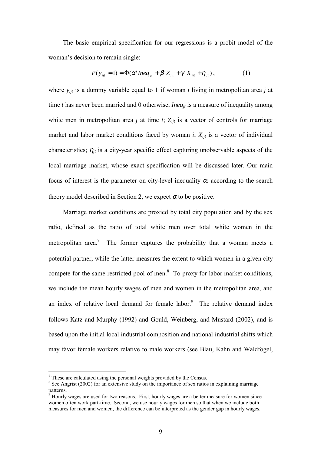The basic empirical specification for our regressions is a probit model of the woman's decision to remain single:

$$
P(y_{ijt} = 1) = \Phi(\alpha' Ineq_{jt} + \beta' Z_{ijt} + \gamma' X_{ijt} + \eta_{jt}),
$$
 (1)

where *yijt* is a dummy variable equal to 1 if woman *i* living in metropolitan area *j* at time *t* has never been married and 0 otherwise; *Ineq<sub>it</sub>* is a measure of inequality among white men in metropolitan area  $j$  at time  $t$ ;  $Z_{ijt}$  is a vector of controls for marriage market and labor market conditions faced by woman  $i$ ;  $X_{iji}$  is a vector of individual characteristics;  $\eta_{jt}$  is a city-year specific effect capturing unobservable aspects of the local marriage market, whose exact specification will be discussed later. Our main focus of interest is the parameter on city-level inequality  $\alpha$ : according to the search theory model described in Section 2, we expect  $\alpha$  to be positive.

Marriage market conditions are proxied by total city population and by the sex ratio, defined as the ratio of total white men over total white women in the metropolitan area.<sup>7</sup> The former captures the probability that a woman meets a potential partner, while the latter measures the extent to which women in a given city compete for the same restricted pool of men. $8$  To proxy for labor market conditions, we include the mean hourly wages of men and women in the metropolitan area, and an index of relative local demand for female labor.<sup>9</sup> The relative demand index follows Katz and Murphy (1992) and Gould, Weinberg, and Mustard (2002), and is based upon the initial local industrial composition and national industrial shifts which may favor female workers relative to male workers (see Blau, Kahn and Waldfogel,

 $7$  These are calculated using the personal weights provided by the Census.

<sup>&</sup>lt;sup>8</sup> See Angrist (2002) for an extensive study on the importance of sex ratios in explaining marriage patterns.

Hourly wages are used for two reasons. First, hourly wages are a better measure for women since women often work part-time. Second, we use hourly wages for men so that when we include both measures for men and women, the difference can be interpreted as the gender gap in hourly wages.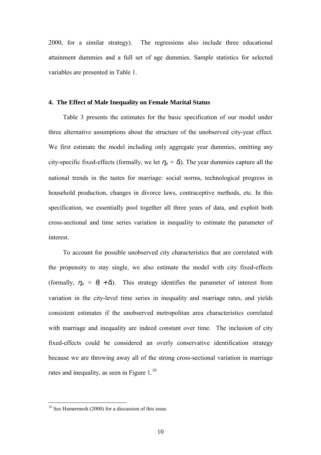2000, for a similar strategy). The regressions also include three educational attainment dummies and a full set of age dummies. Sample statistics for selected variables are presented in Table 1.

#### **4. The Effect of Male Inequality on Female Marital Status**

Table 3 presents the estimates for the basic specification of our model under three alternative assumptions about the structure of the unobserved city-year effect. We first estimate the model including only aggregate year dummies, omitting any city-specific fixed-effects (formally, we let  $\eta_{it} = \delta_t$ ). The year dummies capture all the national trends in the tastes for marriage: social norms, technological progress in household production, changes in divorce laws, contraceptive methods, etc. In this specification, we essentially pool together all three years of data, and exploit both cross-sectional and time series variation in inequality to estimate the parameter of interest.

To account for possible unobserved city characteristics that are correlated with the propensity to stay single, we also estimate the model with city fixed-effects (formally,  $\eta_{it} = \theta_i + \delta_t$ ). This strategy identifies the parameter of interest from variation in the city-level time series in inequality and marriage rates, and yields consistent estimates if the unobserved metropolitan area characteristics correlated with marriage and inequality are indeed constant over time. The inclusion of city fixed-effects could be considered an overly conservative identification strategy because we are throwing away all of the strong cross-sectional variation in marriage rates and inequality, as seen in Figure  $1<sup>10</sup>$ 

 $10$  See Hamermesh (2000) for a discussion of this issue.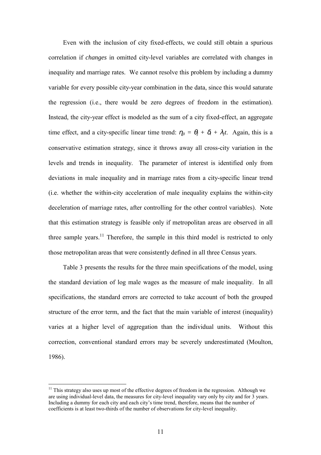Even with the inclusion of city fixed-effects, we could still obtain a spurious correlation if *changes* in omitted city-level variables are correlated with changes in inequality and marriage rates. We cannot resolve this problem by including a dummy variable for every possible city-year combination in the data, since this would saturate the regression (i.e., there would be zero degrees of freedom in the estimation). Instead, the city-year effect is modeled as the sum of a city fixed-effect, an aggregate time effect, and a city-specific linear time trend:  $\eta_{jt} = \theta_j + \delta_t + \lambda_j t$ . Again, this is a conservative estimation strategy, since it throws away all cross-city variation in the levels and trends in inequality. The parameter of interest is identified only from deviations in male inequality and in marriage rates from a city-specific linear trend (i.e. whether the within-city acceleration of male inequality explains the within-city deceleration of marriage rates, after controlling for the other control variables). Note that this estimation strategy is feasible only if metropolitan areas are observed in all three sample years.<sup>11</sup> Therefore, the sample in this third model is restricted to only those metropolitan areas that were consistently defined in all three Census years.

Table 3 presents the results for the three main specifications of the model, using the standard deviation of log male wages as the measure of male inequality. In all specifications, the standard errors are corrected to take account of both the grouped structure of the error term, and the fact that the main variable of interest (inequality) varies at a higher level of aggregation than the individual units. Without this correction, conventional standard errors may be severely underestimated (Moulton, 1986).

 $11$  This strategy also uses up most of the effective degrees of freedom in the regression. Although we are using individual-level data, the measures for city-level inequality vary only by city and for 3 years. Including a dummy for each city and each city's time trend, therefore, means that the number of coefficients is at least two-thirds of the number of observations for city-level inequality.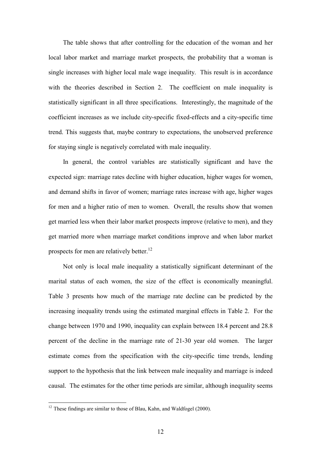The table shows that after controlling for the education of the woman and her local labor market and marriage market prospects, the probability that a woman is single increases with higher local male wage inequality. This result is in accordance with the theories described in Section 2. The coefficient on male inequality is statistically significant in all three specifications. Interestingly, the magnitude of the coefficient increases as we include city-specific fixed-effects and a city-specific time trend. This suggests that, maybe contrary to expectations, the unobserved preference for staying single is negatively correlated with male inequality.

In general, the control variables are statistically significant and have the expected sign: marriage rates decline with higher education, higher wages for women, and demand shifts in favor of women; marriage rates increase with age, higher wages for men and a higher ratio of men to women. Overall, the results show that women get married less when their labor market prospects improve (relative to men), and they get married more when marriage market conditions improve and when labor market prospects for men are relatively better.<sup>12</sup>

Not only is local male inequality a statistically significant determinant of the marital status of each women, the size of the effect is economically meaningful. Table 3 presents how much of the marriage rate decline can be predicted by the increasing inequality trends using the estimated marginal effects in Table 2. For the change between 1970 and 1990, inequality can explain between 18.4 percent and 28.8 percent of the decline in the marriage rate of 21-30 year old women. The larger estimate comes from the specification with the city-specific time trends, lending support to the hypothesis that the link between male inequality and marriage is indeed causal. The estimates for the other time periods are similar, although inequality seems

 $12$  These findings are similar to those of Blau, Kahn, and Waldfogel (2000).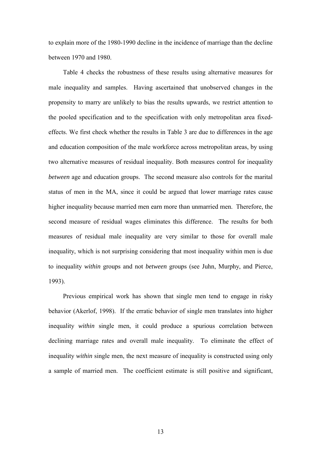to explain more of the 1980-1990 decline in the incidence of marriage than the decline between 1970 and 1980.

Table 4 checks the robustness of these results using alternative measures for male inequality and samples. Having ascertained that unobserved changes in the propensity to marry are unlikely to bias the results upwards, we restrict attention to the pooled specification and to the specification with only metropolitan area fixedeffects. We first check whether the results in Table 3 are due to differences in the age and education composition of the male workforce across metropolitan areas, by using two alternative measures of residual inequality. Both measures control for inequality *between* age and education groups. The second measure also controls for the marital status of men in the MA, since it could be argued that lower marriage rates cause higher inequality because married men earn more than unmarried men. Therefore, the second measure of residual wages eliminates this difference. The results for both measures of residual male inequality are very similar to those for overall male inequality, which is not surprising considering that most inequality within men is due to inequality *within* groups and not *between* groups (see Juhn, Murphy, and Pierce, 1993).

Previous empirical work has shown that single men tend to engage in risky behavior (Akerlof, 1998). If the erratic behavior of single men translates into higher inequality *within* single men, it could produce a spurious correlation between declining marriage rates and overall male inequality. To eliminate the effect of inequality *within* single men, the next measure of inequality is constructed using only a sample of married men. The coefficient estimate is still positive and significant,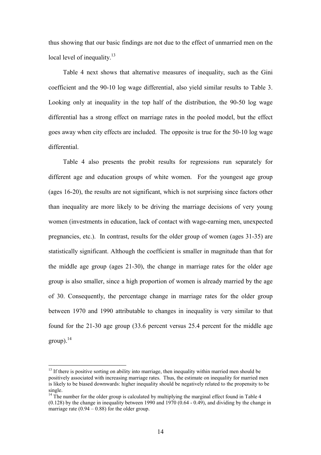thus showing that our basic findings are not due to the effect of unmarried men on the local level of inequality.<sup>13</sup>

Table 4 next shows that alternative measures of inequality, such as the Gini coefficient and the 90-10 log wage differential, also yield similar results to Table 3. Looking only at inequality in the top half of the distribution, the 90-50 log wage differential has a strong effect on marriage rates in the pooled model, but the effect goes away when city effects are included. The opposite is true for the 50-10 log wage differential.

Table 4 also presents the probit results for regressions run separately for different age and education groups of white women. For the youngest age group (ages 16-20), the results are not significant, which is not surprising since factors other than inequality are more likely to be driving the marriage decisions of very young women (investments in education, lack of contact with wage-earning men, unexpected pregnancies, etc.). In contrast, results for the older group of women (ages 31-35) are statistically significant. Although the coefficient is smaller in magnitude than that for the middle age group (ages 21-30), the change in marriage rates for the older age group is also smaller, since a high proportion of women is already married by the age of 30. Consequently, the percentage change in marriage rates for the older group between 1970 and 1990 attributable to changes in inequality is very similar to that found for the 21-30 age group (33.6 percent versus 25.4 percent for the middle age  $group$ ).<sup>14</sup>

 $13$  If there is positive sorting on ability into marriage, then inequality within married men should be positively associated with increasing marriage rates. Thus, the estimate on inequality for married men is likely to be biased downwards: higher inequality should be negatively related to the propensity to be single.

 $14$ <sup>14</sup> The number for the older group is calculated by multiplying the marginal effect found in Table 4  $(0.128)$  by the change in inequality between 1990 and 1970  $(0.64 - 0.49)$ , and dividing by the change in marriage rate  $(0.94 - 0.88)$  for the older group.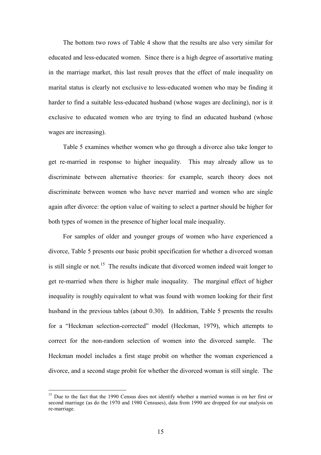The bottom two rows of Table 4 show that the results are also very similar for educated and less-educated women. Since there is a high degree of assortative mating in the marriage market, this last result proves that the effect of male inequality on marital status is clearly not exclusive to less-educated women who may be finding it harder to find a suitable less-educated husband (whose wages are declining), nor is it exclusive to educated women who are trying to find an educated husband (whose wages are increasing).

Table 5 examines whether women who go through a divorce also take longer to get re-married in response to higher inequality. This may already allow us to discriminate between alternative theories: for example, search theory does not discriminate between women who have never married and women who are single again after divorce: the option value of waiting to select a partner should be higher for both types of women in the presence of higher local male inequality.

For samples of older and younger groups of women who have experienced a divorce, Table 5 presents our basic probit specification for whether a divorced woman is still single or not.<sup>15</sup> The results indicate that divorced women indeed wait longer to get re-married when there is higher male inequality. The marginal effect of higher inequality is roughly equivalent to what was found with women looking for their first husband in the previous tables (about 0.30). In addition, Table 5 presents the results for a "Heckman selection-corrected" model (Heckman, 1979), which attempts to correct for the non-random selection of women into the divorced sample. The Heckman model includes a first stage probit on whether the woman experienced a divorce, and a second stage probit for whether the divorced woman is still single. The

<sup>&</sup>lt;sup>15</sup> Due to the fact that the 1990 Census does not identify whether a married woman is on her first or second marriage (as do the 1970 and 1980 Censuses), data from 1990 are dropped for our analysis on re-marriage.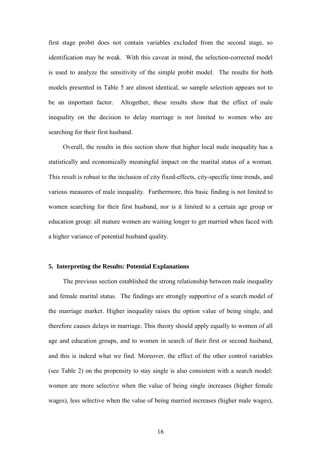first stage probit does not contain variables excluded from the second stage, so identification may be weak. With this caveat in mind, the selection-corrected model is used to analyze the sensitivity of the simple probit model. The results for both models presented in Table 5 are almost identical, so sample selection appears not to be an important factor. Altogether, these results show that the effect of male inequality on the decision to delay marriage is not limited to women who are searching for their first husband.

Overall, the results in this section show that higher local male inequality has a statistically and economically meaningful impact on the marital status of a woman. This result is robust to the inclusion of city fixed-effects, city-specific time trends, and various measures of male inequality. Furthermore, this basic finding is not limited to women searching for their first husband, nor is it limited to a certain age group or education group: all mature women are waiting longer to get married when faced with a higher variance of potential husband quality.

#### **5. Interpreting the Results: Potential Explanations**

The previous section established the strong relationship between male inequality and female marital status. The findings are strongly supportive of a search model of the marriage market. Higher inequality raises the option value of being single, and therefore causes delays in marriage. This theory should apply equally to women of all age and education groups, and to women in search of their first or second husband, and this is indeed what we find. Moreover, the effect of the other control variables (see Table 2) on the propensity to stay single is also consistent with a search model: women are more selective when the value of being single increases (higher female wages), less selective when the value of being married increases (higher male wages),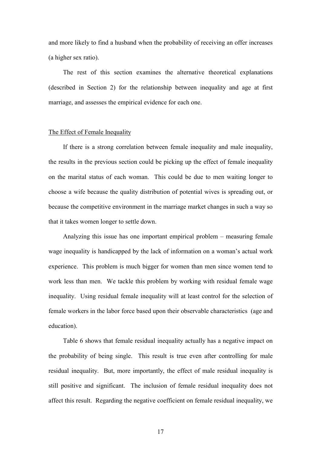and more likely to find a husband when the probability of receiving an offer increases (a higher sex ratio).

The rest of this section examines the alternative theoretical explanations (described in Section 2) for the relationship between inequality and age at first marriage, and assesses the empirical evidence for each one.

#### The Effect of Female Inequality

If there is a strong correlation between female inequality and male inequality, the results in the previous section could be picking up the effect of female inequality on the marital status of each woman. This could be due to men waiting longer to choose a wife because the quality distribution of potential wives is spreading out, or because the competitive environment in the marriage market changes in such a way so that it takes women longer to settle down.

Analyzing this issue has one important empirical problem  $-$  measuring female wage inequality is handicapped by the lack of information on a woman's actual work experience. This problem is much bigger for women than men since women tend to work less than men. We tackle this problem by working with residual female wage inequality. Using residual female inequality will at least control for the selection of female workers in the labor force based upon their observable characteristics (age and education).

Table 6 shows that female residual inequality actually has a negative impact on the probability of being single. This result is true even after controlling for male residual inequality. But, more importantly, the effect of male residual inequality is still positive and significant. The inclusion of female residual inequality does not affect this result. Regarding the negative coefficient on female residual inequality, we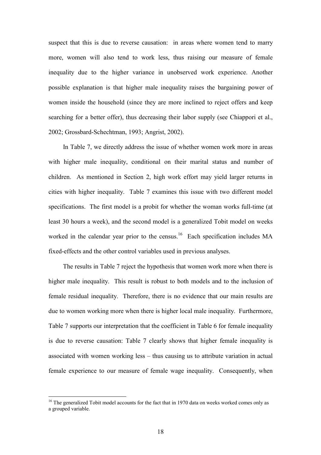suspect that this is due to reverse causation: in areas where women tend to marry more, women will also tend to work less, thus raising our measure of female inequality due to the higher variance in unobserved work experience. Another possible explanation is that higher male inequality raises the bargaining power of women inside the household (since they are more inclined to reject offers and keep searching for a better offer), thus decreasing their labor supply (see Chiappori et al., 2002; Grossbard-Schechtman, 1993; Angrist, 2002).

In Table 7, we directly address the issue of whether women work more in areas with higher male inequality, conditional on their marital status and number of children. As mentioned in Section 2, high work effort may yield larger returns in cities with higher inequality. Table 7 examines this issue with two different model specifications. The first model is a probit for whether the woman works full-time (at least 30 hours a week), and the second model is a generalized Tobit model on weeks worked in the calendar year prior to the census.<sup>16</sup> Each specification includes MA fixed-effects and the other control variables used in previous analyses.

The results in Table 7 reject the hypothesis that women work more when there is higher male inequality. This result is robust to both models and to the inclusion of female residual inequality. Therefore, there is no evidence that our main results are due to women working more when there is higher local male inequality. Furthermore, Table 7 supports our interpretation that the coefficient in Table 6 for female inequality is due to reverse causation: Table 7 clearly shows that higher female inequality is associated with women working less  $-$  thus causing us to attribute variation in actual female experience to our measure of female wage inequality. Consequently, when

 $16$  The generalized Tobit model accounts for the fact that in 1970 data on weeks worked comes only as a grouped variable.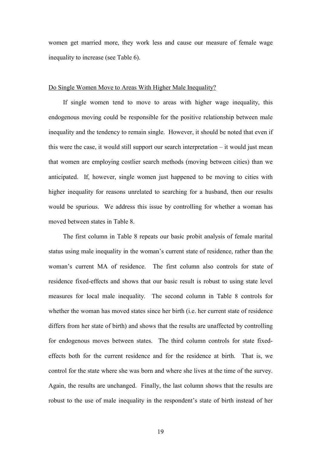women get married more, they work less and cause our measure of female wage inequality to increase (see Table 6).

#### Do Single Women Move to Areas With Higher Male Inequality?

If single women tend to move to areas with higher wage inequality, this endogenous moving could be responsible for the positive relationship between male inequality and the tendency to remain single. However, it should be noted that even if this were the case, it would still support our search interpretation  $-$  it would just mean that women are employing costlier search methods (moving between cities) than we anticipated. If, however, single women just happened to be moving to cities with higher inequality for reasons unrelated to searching for a husband, then our results would be spurious. We address this issue by controlling for whether a woman has moved between states in Table 8.

The first column in Table 8 repeats our basic probit analysis of female marital status using male inequality in the woman's current state of residence, rather than the woman's current MA of residence. The first column also controls for state of residence fixed-effects and shows that our basic result is robust to using state level measures for local male inequality. The second column in Table 8 controls for whether the woman has moved states since her birth (i.e. her current state of residence differs from her state of birth) and shows that the results are unaffected by controlling for endogenous moves between states. The third column controls for state fixedeffects both for the current residence and for the residence at birth. That is, we control for the state where she was born and where she lives at the time of the survey. Again, the results are unchanged. Finally, the last column shows that the results are robust to the use of male inequality in the respondent's state of birth instead of her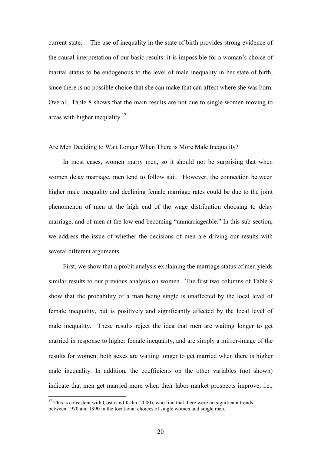current state. The use of inequality in the state of birth provides strong evidence of the causal interpretation of our basic results: it is impossible for a woman's choice of marital status to be endogenous to the level of male inequality in her state of birth, since there is no possible choice that she can make that can affect where she was born. Overall, Table 8 shows that the main results are not due to single women moving to areas with higher inequality.17

#### Are Men Deciding to Wait Longer When There is More Male Inequality?

In most cases, women marry men, so it should not be surprising that when women delay marriage, men tend to follow suit. However, the connection between higher male inequality and declining female marriage rates could be due to the joint phenomenon of men at the high end of the wage distribution choosing to delay marriage, and of men at the low end becoming "unmarriageable." In this sub-section, we address the issue of whether the decisions of men are driving our results with several different arguments.

First, we show that a probit analysis explaining the marriage status of men yields similar results to our previous analysis on women. The first two columns of Table 9 show that the probability of a man being single is unaffected by the local level of female inequality, but is positively and significantly affected by the local level of male inequality. These results reject the idea that men are waiting longer to get married in response to higher female inequality, and are simply a mirror-image of the results for women: both sexes are waiting longer to get married when there is higher male inequality. In addition, the coefficients on the other variables (not shown) indicate that men get married more when their labor market prospects improve, i.e.,

 $17$  This is consistent with Costa and Kahn (2000), who find that there were no significant trends between 1970 and 1990 in the locational choices of single women and single men.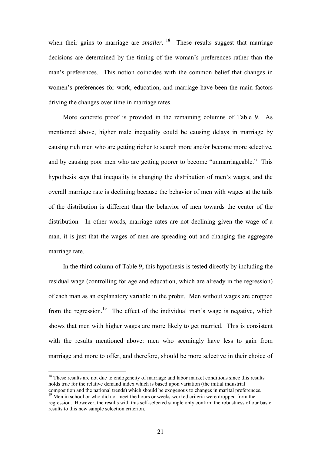when their gains to marriage are *smaller*.<sup>18</sup> These results suggest that marriage decisions are determined by the timing of the woman's preferences rather than the man's preferences. This notion coincides with the common belief that changes in women's preferences for work, education, and marriage have been the main factors driving the changes over time in marriage rates.

More concrete proof is provided in the remaining columns of Table 9. As mentioned above, higher male inequality could be causing delays in marriage by causing rich men who are getting richer to search more and/or become more selective, and by causing poor men who are getting poorer to become "unmarriageable." This hypothesis says that inequality is changing the distribution of men's wages, and the overall marriage rate is declining because the behavior of men with wages at the tails of the distribution is different than the behavior of men towards the center of the distribution. In other words, marriage rates are not declining given the wage of a man, it is just that the wages of men are spreading out and changing the aggregate marriage rate.

In the third column of Table 9, this hypothesis is tested directly by including the residual wage (controlling for age and education, which are already in the regression) of each man as an explanatory variable in the probit. Men without wages are dropped from the regression.<sup>19</sup> The effect of the individual man's wage is negative, which shows that men with higher wages are more likely to get married. This is consistent with the results mentioned above: men who seemingly have less to gain from marriage and more to offer, and therefore, should be more selective in their choice of

<sup>&</sup>lt;sup>18</sup> These results are not due to endogeneity of marriage and labor market conditions since this results holds true for the relative demand index which is based upon variation (the initial industrial composition and the national trends) which should be exogenous to changes in marital preferences.

 $19$  Men in school or who did not meet the hours or weeks-worked criteria were dropped from the regression. However, the results with this self-selected sample only confirm the robustness of our basic results to this new sample selection criterion.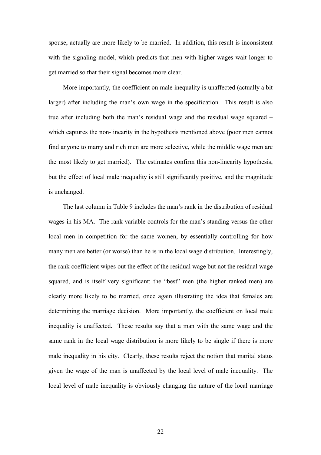spouse, actually are more likely to be married. In addition, this result is inconsistent with the signaling model, which predicts that men with higher wages wait longer to get married so that their signal becomes more clear.

More importantly, the coefficient on male inequality is unaffected (actually a bit larger) after including the man's own wage in the specification. This result is also true after including both the man's residual wage and the residual wage squared  $$ which captures the non-linearity in the hypothesis mentioned above (poor men cannot find anyone to marry and rich men are more selective, while the middle wage men are the most likely to get married). The estimates confirm this non-linearity hypothesis, but the effect of local male inequality is still significantly positive, and the magnitude is unchanged.

The last column in Table 9 includes the man's rank in the distribution of residual wages in his MA. The rank variable controls for the man's standing versus the other local men in competition for the same women, by essentially controlling for how many men are better (or worse) than he is in the local wage distribution. Interestingly, the rank coefficient wipes out the effect of the residual wage but not the residual wage squared, and is itself very significant: the "best" men (the higher ranked men) are clearly more likely to be married, once again illustrating the idea that females are determining the marriage decision. More importantly, the coefficient on local male inequality is unaffected. These results say that a man with the same wage and the same rank in the local wage distribution is more likely to be single if there is more male inequality in his city. Clearly, these results reject the notion that marital status given the wage of the man is unaffected by the local level of male inequality. The local level of male inequality is obviously changing the nature of the local marriage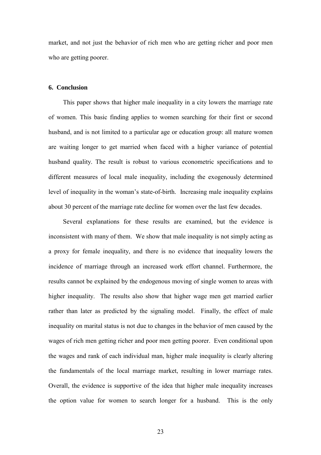market, and not just the behavior of rich men who are getting richer and poor men who are getting poorer.

#### **6. Conclusion**

This paper shows that higher male inequality in a city lowers the marriage rate of women. This basic finding applies to women searching for their first or second husband, and is not limited to a particular age or education group: all mature women are waiting longer to get married when faced with a higher variance of potential husband quality. The result is robust to various econometric specifications and to different measures of local male inequality, including the exogenously determined level of inequality in the woman's state-of-birth. Increasing male inequality explains about 30 percent of the marriage rate decline for women over the last few decades.

Several explanations for these results are examined, but the evidence is inconsistent with many of them. We show that male inequality is not simply acting as a proxy for female inequality, and there is no evidence that inequality lowers the incidence of marriage through an increased work effort channel. Furthermore, the results cannot be explained by the endogenous moving of single women to areas with higher inequality. The results also show that higher wage men get married earlier rather than later as predicted by the signaling model. Finally, the effect of male inequality on marital status is not due to changes in the behavior of men caused by the wages of rich men getting richer and poor men getting poorer. Even conditional upon the wages and rank of each individual man, higher male inequality is clearly altering the fundamentals of the local marriage market, resulting in lower marriage rates. Overall, the evidence is supportive of the idea that higher male inequality increases the option value for women to search longer for a husband. This is the only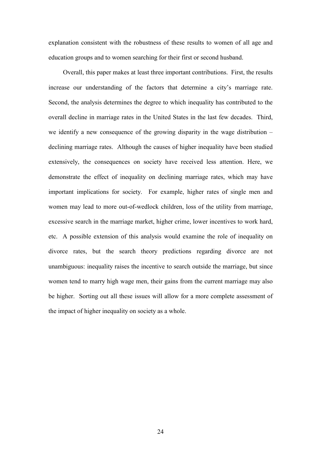explanation consistent with the robustness of these results to women of all age and education groups and to women searching for their first or second husband.

Overall, this paper makes at least three important contributions. First, the results increase our understanding of the factors that determine a city's marriage rate. Second, the analysis determines the degree to which inequality has contributed to the overall decline in marriage rates in the United States in the last few decades. Third, we identify a new consequence of the growing disparity in the wage distribution  $$ declining marriage rates. Although the causes of higher inequality have been studied extensively, the consequences on society have received less attention. Here, we demonstrate the effect of inequality on declining marriage rates, which may have important implications for society. For example, higher rates of single men and women may lead to more out-of-wedlock children, loss of the utility from marriage, excessive search in the marriage market, higher crime, lower incentives to work hard, etc. A possible extension of this analysis would examine the role of inequality on divorce rates, but the search theory predictions regarding divorce are not unambiguous: inequality raises the incentive to search outside the marriage, but since women tend to marry high wage men, their gains from the current marriage may also be higher. Sorting out all these issues will allow for a more complete assessment of the impact of higher inequality on society as a whole.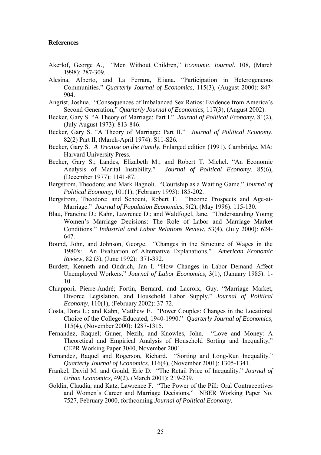#### **References**

- Akerlof, George A., "Men Without Children," *Economic Journal*, 108, (March 1998): 287-309.
- Alesina, Alberto, and La Ferrara, Eliana. "Participation in Heterogeneous Communities.î *Quarterly Journal of Economics,* 115(3), (August 2000): 847- 904.
- Angrist, Joshua. "Consequences of Imbalanced Sex Ratios: Evidence from America's Second Generation,<sup>n</sup> *Quarterly Journal of Economics*, 117(3), (August 2002).
- Becker, Gary S. "A Theory of Marriage: Part I." *Journal of Political Economy*, 81(2), (July-August 1973): 813-846.
- Becker, Gary S. "A Theory of Marriage: Part II." *Journal of Political Economy*, 82(2) Part II, (March-April 1974): S11-S26.
- Becker, Gary S. *A Treatise on the Family*, Enlarged edition (1991). Cambridge, MA: Harvard University Press.
- Becker, Gary S.; Landes, Elizabeth M.; and Robert T. Michel. "An Economic Analysis of Marital Instability*.*î *Journal of Political Economy*, 85(6), (December 1977): 1141-87.
- Bergstrom, Theodore; and Mark Bagnoli. "Courtship as a Waiting Game." *Journal of Political Economy*, 101(1), (February 1993): 185-202.
- Bergstrom, Theodore; and Schoeni, Robert F. "Income Prospects and Age-at-Marriage." *Journal of Population Economics*, 9(2), (May 1996): 115-130.
- Blau, Francine D.; Kahn, Lawrence D.; and Waldfogel, Jane. "Understanding Young Womenís Marriage Decisions: The Role of Labor and Marriage Market Conditions.î *Industrial and Labor Relations Review*, 53(4), (July 2000): 624- 647.
- Bound, John, and Johnson, George. "Changes in the Structure of Wages in the 1980's: An Evaluation of Alternative Explanations." American Economic *Review,* 82 (3), (June 1992): 371-392.
- Burdett, Kenneth and Ondrich, Jan I. "How Changes in Labor Demand Affect Unemployed Workers.î *Journal of Labor Economics,* 3(1), (January 1985): 1- 10.
- Chiappori, Pierre-André; Fortin, Bernard; and Lacroix, Guy. "Marriage Market, Divorce Legislation, and Household Labor Supply." *Journal of Political Economy*, 110(1), (February 2002): 37-72.
- Costa, Dora L.; and Kahn, Matthew E. "Power Couples: Changes in the Locational Choice of the College-Educated, 1940-1990." *Quarterly Journal of Economics*, 115(4), (November 2000): 1287-1315.
- Fernandez, Raquel; Guner, Nezih; and Knowles, John. "Love and Money: A Theoretical and Empirical Analysis of Household Sorting and Inequality," CEPR Working Paper 3040, November 2001.
- Fernandez, Raquel and Rogerson, Richard. "Sorting and Long-Run Inequality." *Quarterly Journal of Economics*, 116(4), (November 2001): 1305-1341.
- Frankel, David M. and Gould, Eric D. "The Retail Price of Inequality." *Journal of Urban Economics,* 49(2), (March 2001): 219-239.
- Goldin, Claudia; and Katz, Lawrence F. "The Power of the Pill: Oral Contraceptives and Women's Career and Marriage Decisions." NBER Working Paper No. 7527, February 2000, forthcoming *Journal of Political Economy*.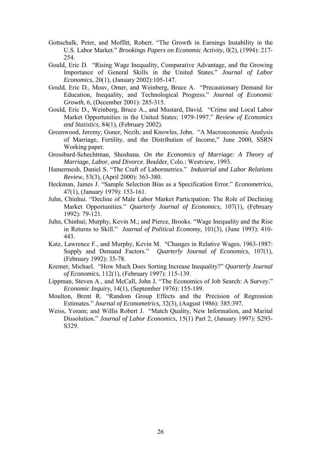- Gottschalk, Peter, and Moffitt, Robert. "The Growth in Earnings Instability in the U.S. Labor Market." *Brookings Papers on Economic Activity*, 0(2), (1994): 217-254.
- Gould, Eric D. "Rising Wage Inequality, Comparative Advantage, and the Growing Importance of General Skills in the United States." Journal of Labor *Economics*, 20(1), (January 2002):105-147.
- Gould, Eric D., Moav, Omer, and Weinberg, Bruce A. "Precautionary Demand for Education, Inequality, and Technological Progress." *Journal of Economic Growth*, 6, (December 2001): 285-315.
- Gould, Eric D., Weinberg, Bruce A., and Mustard, David. "Crime and Local Labor Market Opportunities in the United States: 1979-1997." *Review of Economics and Statistics*, 84(1), (February 2002).
- Greenwood, Jeremy; Guner, Nezih; and Knowles, John. "A Macroeconomic Analysis of Marriage, Fertility, and the Distribution of Income," June 2000, SSRN Working paper.
- Grossbard-Schechtman, Shoshana. *On the Economics of Marriage: A Theory of Marriage, Labor, and Divorce.* Boulder, Colo.: Westview, 1993.
- Hamermesh, Daniel S. "The Craft of Labormetrics." *Industrial and Labor Relations Review*, 53(3), (April 2000): 363-380.
- Heckman, James J. "Sample Selection Bias as a Specification Error." *Econometrica*, 47(1), (January 1979): 153-161.
- Juhn, Chinhui. "Decline of Male Labor Market Participation: The Role of Declining Market Opportunities." *Quarterly Journal of Economics*, 107(1), (February 1992): 79-121.
- Juhn, Chinhui; Murphy, Kevin M.; and Pierce, Brooks. "Wage Inequality and the Rise in Returns to Skill." *Journal of Political Economy*, 101(3), (June 1993): 410-443.
- Katz, Lawrence F., and Murphy, Kevin M. "Changes in Relative Wages, 1963-1987: Supply and Demand Factors.<sup>"</sup> Quarterly Journal of Economics, 107(1), (February 1992): 35-78.
- Kremer, Michael. "How Much Does Sorting Increase Inequality?" *Quarterly Journal of Economics,* 112(1), (February 1997): 115-139.
- Lippman, Steven A., and McCall, John J. "The Economics of Job Search: A Survey." *Economic Inquiry,* 14(1), (September 1976): 155-189.
- Moulton, Brent R. "Random Group Effects and the Precision of Regression Estimates.î *Journal of Econometrics,* 32(3), (August 1986): 385:397.
- Weiss, Yoram; and Willis Robert J. "Match Quality, New Information, and Marital Dissolution." *Journal of Labor Economics*, 15(1) Part 2, (January 1997): S293-S329.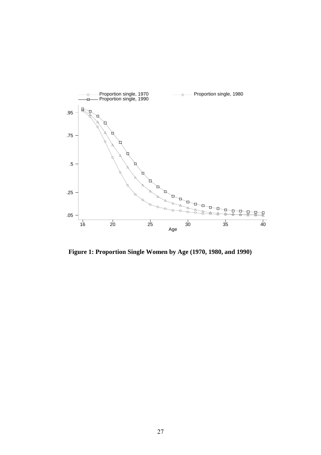

**Figure 1: Proportion Single Women by Age (1970, 1980, and 1990)**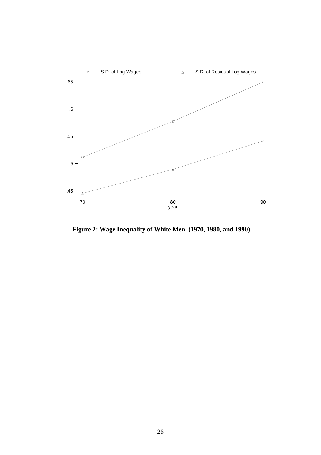

**Figure 2: Wage Inequality of White Men (1970, 1980, and 1990)**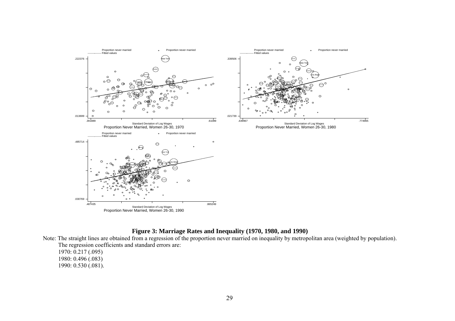

#### **Figure 3: Marriage Rates and Inequality (1970, 1980, and 1990)**

Note: The straight lines are obtained from a regression of the proportion never married on inequality by metropolitan area (weighted by population). The regression coefficients and standard errors are:

1970: 0.217 (.095)

1980: 0.496 (.083)

1990: 0.530 (.081).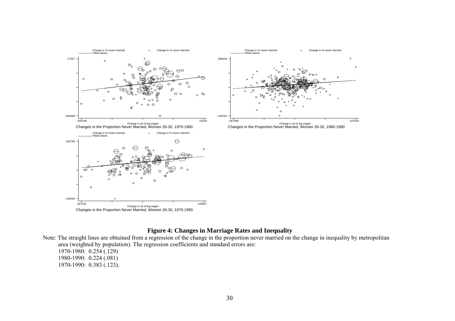

#### **Figure 4: Changes in Marriage Rates and Inequality**

Note: The straight lines are obtained from a regression of the change in the proportion never married on the change in inequality by metropolitan area (weighted by population). The regression coefficients and standard errors are:

1970-1980: 0.254 (.129) 1980-1990: 0.224 (.081) 1970-1990: 0.383 (.123).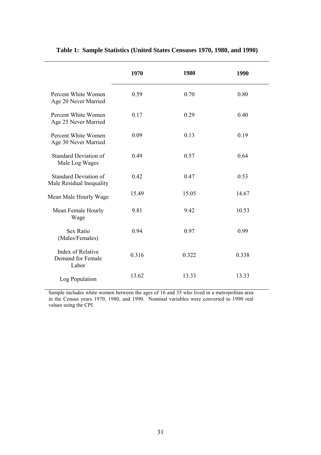|                                                          | 1970  | 1980  | 1990  |
|----------------------------------------------------------|-------|-------|-------|
| Percent White Women<br>Age 20 Never Married              | 0.59  | 0.70  | 0.80  |
| Percent White Women<br>Age 25 Never Married              | 0.17  | 0.29  | 0.40  |
| Percent White Women<br>Age 30 Never Married              | 0.09  | 0.13  | 0.19  |
| <b>Standard Deviation of</b><br>Male Log Wages           | 0.49  | 0.57  | 0.64  |
| <b>Standard Deviation of</b><br>Male Residual Inequality | 0.42  | 0.47  | 0.53  |
| Mean Male Hourly Wage                                    | 15.49 | 15.05 | 14.67 |
| Mean Female Hourly<br>Wage                               | 9.81  | 9.42  | 10.53 |
| Sex Ratio<br>(Males/Females)                             | 0.94  | 0.97  | 0.99  |
| <b>Index of Relative</b><br>Demand for Female<br>Labor   | 0.316 | 0.322 | 0.338 |
| Log Population                                           | 13.62 | 13.33 | 13.33 |

#### **Table 1: Sample Statistics (United States Censuses 1970, 1980, and 1990)**

Sample includes white women between the ages of 16 and 35 who lived in a metropolitan area in the Census years 1970, 1980, and 1990. Nominal variables were converted to 1990 real values using the CPI.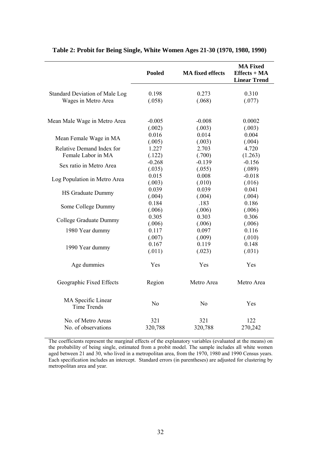|                                          | <b>Pooled</b>            | <b>MA</b> fixed effects | <b>MA Fixed</b><br><b>Effects + MA</b><br><b>Linear Trend</b> |
|------------------------------------------|--------------------------|-------------------------|---------------------------------------------------------------|
| <b>Standard Deviation of Male Log</b>    | 0.198                    | 0.273                   | 0.310                                                         |
| Wages in Metro Area                      | (.058)                   | (.068)                  | (.077)                                                        |
| Mean Male Wage in Metro Area             | $-0.005$                 | $-0.008$                | 0.0002                                                        |
|                                          | (.002)                   | (.003)                  | (.003)                                                        |
| Mean Female Wage in MA                   | 0.016                    | 0.014                   | 0.004                                                         |
|                                          | (.005)                   | (.003)                  | (.004)                                                        |
| Relative Demand Index for                | 1.227                    | 2.703                   | 4.720                                                         |
| Female Labor in MA                       | (.122)                   | (.700)                  | (1.263)                                                       |
| Sex ratio in Metro Area                  | $-0.268$                 | $-0.139$                | $-0.156$                                                      |
|                                          | (.035)                   | (.055)                  | (.089)                                                        |
| Log Population in Metro Area             | 0.015<br>(.003)<br>0.039 | 0.008<br>(.010)         | $-0.018$<br>(.016)                                            |
| HS Graduate Dummy                        | (.004)<br>0.184          | 0.039<br>(.004)<br>.183 | 0.041<br>(.004)                                               |
| Some College Dummy                       | (.006)<br>0.305          | (.006)<br>0.303         | 0.186<br>(.006)<br>0.306                                      |
| College Graduate Dummy                   | (.006)                   | (.006)                  | (.006)                                                        |
| 1980 Year dummy                          | 0.117                    | 0.097                   | 0.116                                                         |
|                                          | (.007)                   | (.009)                  | (.010)                                                        |
|                                          | 0.167                    | 0.119                   | 0.148                                                         |
| 1990 Year dummy                          | (.011)                   | (.023)                  | (.031)                                                        |
| Age dummies                              | Yes                      | Yes                     | Yes                                                           |
| Geographic Fixed Effects                 | Region                   | Metro Area              | Metro Area                                                    |
| MA Specific Linear<br><b>Time Trends</b> | N <sub>o</sub>           | N <sub>0</sub>          | Yes                                                           |
| No. of Metro Areas                       | 321                      | 321                     | 122                                                           |
| No. of observations                      | 320,788                  | 320,788                 | 270,242                                                       |

#### **Table 2: Probit for Being Single, White Women Ages 21-30 (1970, 1980, 1990)**

The coefficients represent the marginal effects of the explanatory variables (evaluated at the means) on the probability of being single, estimated from a probit model. The sample includes all white women aged between 21 and 30, who lived in a metropolitan area, from the 1970, 1980 and 1990 Census years. Each specification includes an intercept. Standard errors (in parentheses) are adjusted for clustering by metropolitan area and year.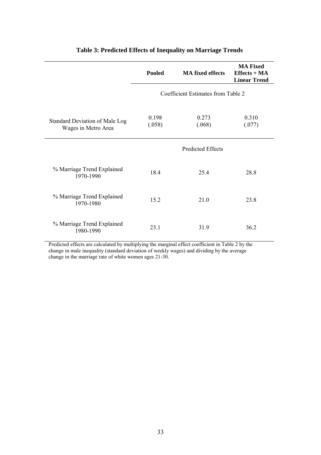|                                                              | <b>Pooled</b>   | <b>MA</b> fixed effects            | <b>MA Fixed</b><br>$E \text{ffects} + \text{MA}$<br><b>Linear Trend</b> |
|--------------------------------------------------------------|-----------------|------------------------------------|-------------------------------------------------------------------------|
|                                                              |                 | Coefficient Estimates from Table 2 |                                                                         |
| <b>Standard Deviation of Male Log</b><br>Wages in Metro Area | 0.198<br>(.058) | 0.273<br>(.068)                    | 0.310<br>(.077)                                                         |
|                                                              |                 | <b>Predicted Effects</b>           |                                                                         |
| % Marriage Trend Explained<br>1970-1990                      | 18.4            | 25.4                               | 28.8                                                                    |
| % Marriage Trend Explained<br>1970-1980                      | 15.2            | 21.0                               | 23.8                                                                    |
| % Marriage Trend Explained<br>1980-1990                      | 23.1            | 31.9                               | 36.2                                                                    |

#### **Table 3: Predicted Effects of Inequality on Marriage Trends**

Predicted effects are calculated by multiplying the marginal effect coefficient in Table 2 by the change in male inequality (standard deviation of weekly wages) and dividing by the average change in the marriage rate of white women ages 21-30.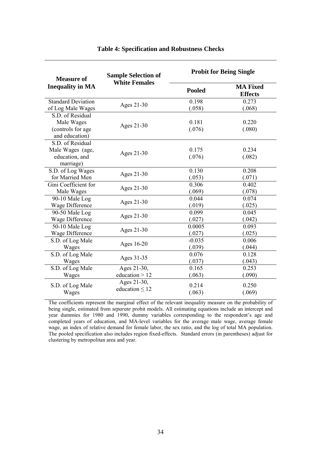| <b>Measure of</b>                                                     | <b>Sample Selection of</b> | <b>Probit for Being Single</b> |                                   |  |
|-----------------------------------------------------------------------|----------------------------|--------------------------------|-----------------------------------|--|
| <b>Inequality in MA</b>                                               | <b>White Females</b>       | <b>Pooled</b>                  | <b>MA Fixed</b><br><b>Effects</b> |  |
| <b>Standard Deviation</b>                                             | Ages 21-30                 | 0.198                          | 0.273                             |  |
| of Log Male Wages                                                     |                            | (.058)                         | (.068)                            |  |
| S.D. of Residual<br>Male Wages<br>(controls for age<br>and education) | Ages 21-30                 | 0.181<br>(.076)                | 0.220<br>(.080)                   |  |
| S.D. of Residual<br>Male Wages (age,<br>education, and<br>marriage)   | Ages 21-30                 | 0.175<br>(.076)                | 0.234<br>(.082)                   |  |
| S.D. of Log Wages                                                     | Ages 21-30                 | 0.130                          | 0.208                             |  |
| for Married Men                                                       |                            | (.053)                         | (.071)                            |  |
| Gini Coefficient for                                                  | Ages 21-30                 | 0.306                          | 0.402                             |  |
| Male Wages                                                            |                            | (.069)                         | (.078)                            |  |
| 90-10 Male Log                                                        | Ages 21-30                 | 0.044                          | 0.074                             |  |
| Wage Difference                                                       |                            | (.019)                         | (.025)                            |  |
| 90-50 Male Log                                                        | Ages 21-30                 | 0.099                          | 0.045                             |  |
| Wage Difference                                                       |                            | (.027)                         | (.042)                            |  |
| 50-10 Male Log                                                        | Ages 21-30                 | 0.0005                         | 0.093                             |  |
| Wage Difference                                                       |                            | (.027)                         | (.025)                            |  |
| S.D. of Log Male                                                      | Ages 16-20                 | $-0.035$                       | 0.006                             |  |
| Wages                                                                 |                            | (.039)                         | (.044)                            |  |
| S.D. of Log Male                                                      | Ages 31-35                 | 0.076                          | 0.128                             |  |
| Wages                                                                 |                            | (.037)                         | (.043)                            |  |
| S.D. of Log Male                                                      | Ages 21-30,                | 0.165                          | 0.253                             |  |
| Wages                                                                 | education $> 12$           | (.063)                         | (.090)                            |  |
| S.D. of Log Male                                                      | Ages 21-30,                | 0.214                          | 0.250                             |  |
| Wages                                                                 | education $\leq 12$        | (.063)                         | (.069)                            |  |

#### **Table 4: Specification and Robustness Checks**

The coefficients represent the marginal effect of the relevant inequality measure on the probability of being single, estimated from *separate* probit models. All estimating equations include an intercept and year dummies for 1980 and 1990, dummy variables corresponding to the respondent's age and completed years of education, and MA-level variables for the average male wage, average female wage, an index of relative demand for female labor, the sex ratio, and the log of total MA population. The pooled specification also includes region fixed-effects. Standard errors (in parentheses) adjust for clustering by metropolitan area and year.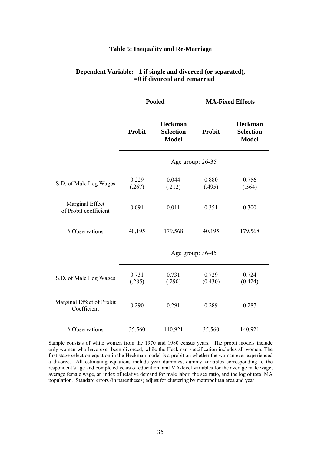|                                          | <b>Pooled</b>   |                                                    |                  | <b>MA-Fixed Effects</b>                     |
|------------------------------------------|-----------------|----------------------------------------------------|------------------|---------------------------------------------|
|                                          | <b>Probit</b>   | <b>Heckman</b><br><b>Selection</b><br><b>Model</b> | <b>Probit</b>    | Heckman<br><b>Selection</b><br><b>Model</b> |
|                                          |                 |                                                    | Age group: 26-35 |                                             |
| S.D. of Male Log Wages                   | 0.229<br>(.267) | 0.044<br>(.212)                                    | 0.880<br>(.495)  | 0.756<br>(.564)                             |
| Marginal Effect<br>of Probit coefficient | 0.091           | 0.011                                              | 0.351            | 0.300                                       |
| # Observations                           | 40,195          | 179,568                                            | 40,195           | 179,568                                     |
|                                          |                 |                                                    | Age group: 36-45 |                                             |
| S.D. of Male Log Wages                   | 0.731<br>(.285) | 0.731<br>(.290)                                    | 0.729<br>(0.430) | 0.724<br>(0.424)                            |
| Marginal Effect of Probit<br>Coefficient | 0.290           | 0.291                                              | 0.289            | 0.287                                       |
| # Observations                           | 35,560          | 140,921                                            | 35,560           | 140,921                                     |

## **Table 5: Inequality and Re-Marriage**

**Dependent Variable: =1 if single and divorced (or separated),** 

 **=0 if divorced and remarried** 

only women who have ever been divorced, while the Heckman specification includes all women. The first stage selection equation in the Heckman model is a probit on whether the woman ever experienced a divorce. All estimating equations include year dummies, dummy variables corresponding to the respondent's age and completed years of education, and MA-level variables for the average male wage, average female wage, an index of relative demand for male labor, the sex ratio, and the log of total MA population. Standard errors (in parentheses) adjust for clustering by metropolitan area and year.

Sample consists of white women from the 1970 and 1980 census years. The probit models include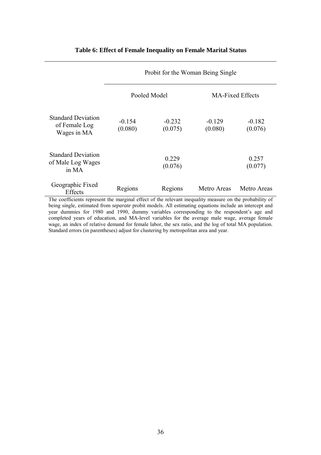|                                                           | Probit for the Woman Being Single                    |                                                                |                         |                                            |  |
|-----------------------------------------------------------|------------------------------------------------------|----------------------------------------------------------------|-------------------------|--------------------------------------------|--|
|                                                           |                                                      | Pooled Model                                                   |                         | <b>MA-Fixed Effects</b>                    |  |
| <b>Standard Deviation</b><br>of Female Log<br>Wages in MA | $-0.154$<br>(0.080)                                  | $-0.232$<br>(0.075)                                            | $-0.129$<br>(0.080)     | $-0.182$<br>(0.076)                        |  |
| <b>Standard Deviation</b><br>of Male Log Wages<br>in MA   |                                                      | 0.229<br>(0.076)                                               |                         | 0.257<br>(0.077)                           |  |
| Geographic Fixed<br>Effects<br>$-1$<br>$\sim$ $\sim$      | Regions<br>$\cdot$ $\cdot$ $\cdot$ $\cdot$<br>$\sim$ | Regions<br>$\sim$ $\sim$ $\sim$<br>$\sim$ $\sim$ $\sim$ $\sim$ | Metro Areas<br>$\cdots$ | Metro Areas<br>$\sim$ $\sim$ $\sim$ $\sim$ |  |

#### **Table 6: Effect of Female Inequality on Female Marital Status**

The coefficients represent the marginal effect of the relevant inequality measure on the probability of being single, estimated from *separate* probit models. All estimating equations include an intercept and year dummies for 1980 and 1990, dummy variables corresponding to the respondent's age and completed years of education, and MA-level variables for the average male wage, average female wage, an index of relative demand for female labor, the sex ratio, and the log of total MA population. Standard errors (in parentheses) adjust for clustering by metropolitan area and year.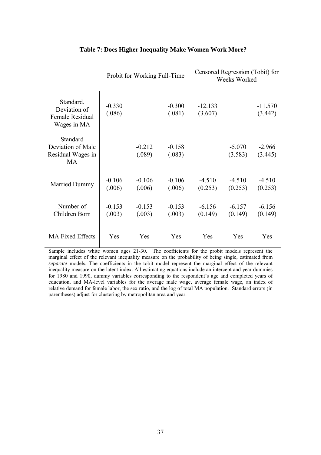|                                                                        | Probit for Working Full-Time |                    |                    |                      | Censored Regression (Tobit) for<br>Weeks Worked |                      |
|------------------------------------------------------------------------|------------------------------|--------------------|--------------------|----------------------|-------------------------------------------------|----------------------|
| Standard.<br>Deviation of<br>Female Residual<br>Wages in MA            | $-0.330$<br>(.086)           |                    | $-0.300$<br>(.081) | $-12.133$<br>(3.607) |                                                 | $-11.570$<br>(3.442) |
| <b>Standard</b><br>Deviation of Male<br>Residual Wages in<br><b>MA</b> |                              | $-0.212$<br>(.089) | $-0.158$<br>(.083) |                      | $-5.070$<br>(3.583)                             | $-2.966$<br>(3.445)  |
| Married Dummy                                                          | $-0.106$<br>(.006)           | $-0.106$<br>(.006) | $-0.106$<br>(.006) | $-4.510$<br>(0.253)  | $-4.510$<br>(0.253)                             | $-4.510$<br>(0.253)  |
| Number of<br>Children Born                                             | $-0.153$<br>(.003)           | $-0.153$<br>(.003) | $-0.153$<br>(.003) | $-6.156$<br>(0.149)  | $-6.157$<br>(0.149)                             | $-6.156$<br>(0.149)  |
| <b>MA Fixed Effects</b>                                                | Yes                          | Yes                | Yes                | Yes                  | Yes                                             | Yes                  |

#### **Table 7: Does Higher Inequality Make Women Work More?**

Sample includes white women ages 21-30. The coefficients for the probit models represent the marginal effect of the relevant inequality measure on the probability of being single, estimated from *separate* models. The coefficients in the tobit model represent the marginal effect of the relevant inequality measure on the latent index. All estimating equations include an intercept and year dummies for  $1980$  and  $1990$ , dummy variables corresponding to the respondent's age and completed years of education, and MA-level variables for the average male wage, average female wage, an index of relative demand for female labor, the sex ratio, and the log of total MA population. Standard errors (in parentheses) adjust for clustering by metropolitan area and year.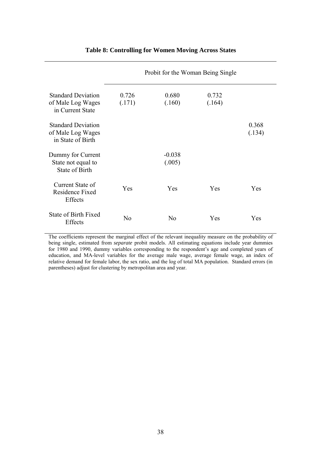|                                                                     | Probit for the Woman Being Single |                    |                 |                 |  |
|---------------------------------------------------------------------|-----------------------------------|--------------------|-----------------|-----------------|--|
| <b>Standard Deviation</b><br>of Male Log Wages<br>in Current State  | 0.726<br>(.171)                   | 0.680<br>(.160)    | 0.732<br>(.164) |                 |  |
| <b>Standard Deviation</b><br>of Male Log Wages<br>in State of Birth |                                   |                    |                 | 0.368<br>(.134) |  |
| Dummy for Current<br>State not equal to<br>State of Birth           |                                   | $-0.038$<br>(.005) |                 |                 |  |
| Current State of<br>Residence Fixed<br><b>Effects</b>               | Yes                               | Yes                | Yes             | Yes             |  |
| <b>State of Birth Fixed</b><br>Effects                              | N <sub>0</sub>                    | N <sub>0</sub>     | Yes             | Yes             |  |

#### **Table 8: Controlling for Women Moving Across States**

The coefficients represent the marginal effect of the relevant inequality measure on the probability of being single, estimated from *separate* probit models. All estimating equations include year dummies for 1980 and 1990, dummy variables corresponding to the respondent's age and completed years of education, and MA-level variables for the average male wage, average female wage, an index of relative demand for female labor, the sex ratio, and the log of total MA population. Standard errors (in parentheses) adjust for clustering by metropolitan area and year.